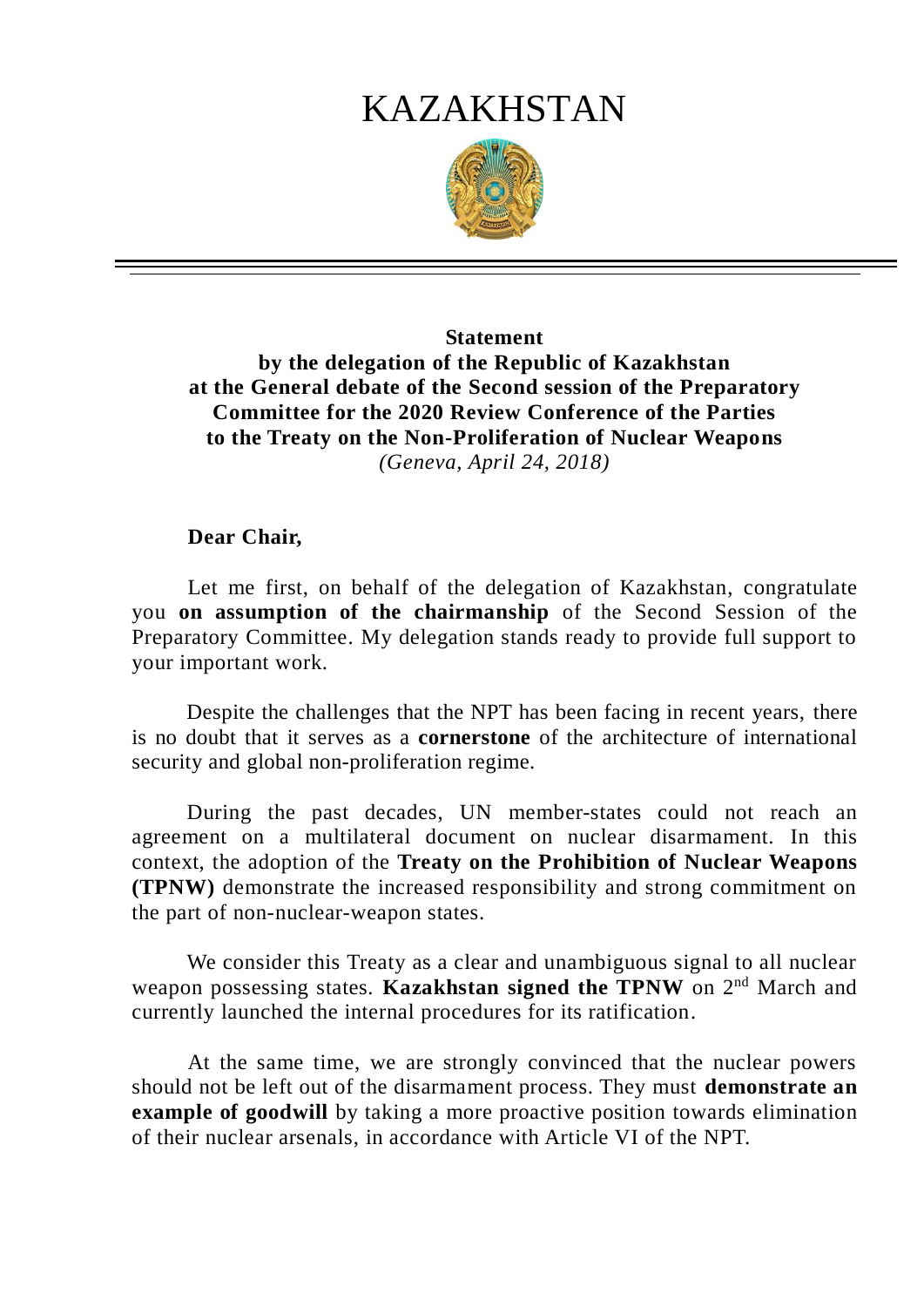# KAZAKHSTAN



## **Statement by the delegation of the Republic of Kazakhstan at the General debate of the Second session of the Preparatory Committee for the 2020 Review Conference of the Parties to the Treaty on the Non-Proliferation of Nuclear Weapons** *(Geneva, April 24, 2018)*

### **Dear Chair,**

Let me first, on behalf of the delegation of Kazakhstan, congratulate you **on assumption of the chairmanship** of the Second Session of the Preparatory Committee. My delegation stands ready to provide full support to your important work.

Despite the challenges that the NPT has been facing in recent years, there is no doubt that it serves as a **cornerstone** of the architecture of international security and global non-proliferation regime.

During the past decades, UN member-states could not reach an agreement on a multilateral document on nuclear disarmament. In this context, the adoption of the **Treaty on the Prohibition of Nuclear Weapons (TPNW)** demonstrate the increased responsibility and strong commitment on the part of non-nuclear-weapon states.

We consider this Treaty as a clear and unambiguous signal to all nuclear weapon possessing states. **Kazakhstan signed the TPNW** on 2nd March and currently launched the internal procedures for its ratification.

At the same time, we are strongly convinced that the nuclear powers should not be left out of the disarmament process. They must **demonstrate an example of goodwill** by taking a more proactive position towards elimination of their nuclear arsenals, in accordance with Article VI of the NPT.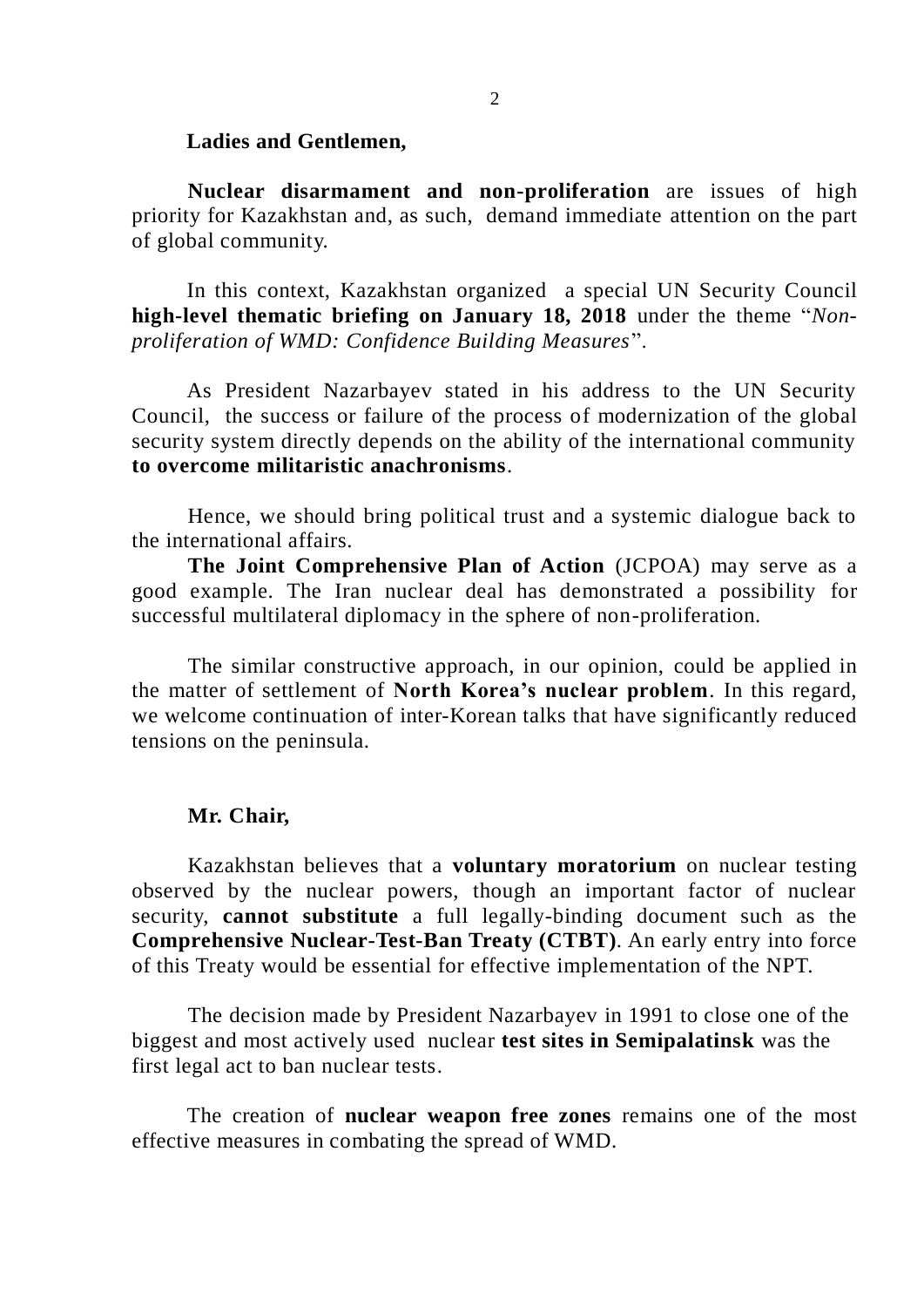#### **Ladies and Gentlemen,**

**Nuclear disarmament and non-proliferation** are issues of high priority for Kazakhstan and, as such, demand immediate attention on the part of global community.

In this context, Kazakhstan organized a special UN Security Council **high-level thematic briefing on January 18, 2018** under the theme "*Nonproliferation of WMD: Confidence Building Measures*".

As President Nazarbayev stated in his address to the UN Security Council, the success or failure of the process of modernization of the global security system directly depends on the ability of the international community **to overcome militaristic anachronisms**.

Hence, we should bring political trust and a systemic dialogue back to the international affairs.

**The Joint Comprehensive Plan of Action** (JCPOA) may serve as a good example. The Iran nuclear deal has demonstrated a possibility for successful multilateral diplomacy in the sphere of non-proliferation.

The similar constructive approach, in our opinion, could be applied in the matter of settlement of **North Korea's nuclear problem**. In this regard, we welcome continuation of inter-Korean talks that have significantly reduced tensions on the peninsula.

#### **Mr. Chair,**

Kazakhstan believes that a **voluntary moratorium** on nuclear testing observed by the nuclear powers, though an important factor of nuclear security, **cannot substitute** a full legally-binding document such as the **Comprehensive Nuclear-Test-Ban Treaty (CTBT)**. An early entry into force of this Treaty would be essential for effective implementation of the NPT.

The decision made by President Nazarbayev in 1991 to close one of the biggest and most actively used nuclear **test sites in Semipalatinsk** was the first legal act to ban nuclear tests.

The creation of **nuclear weapon free zones** remains one of the most effective measures in combating the spread of WMD.